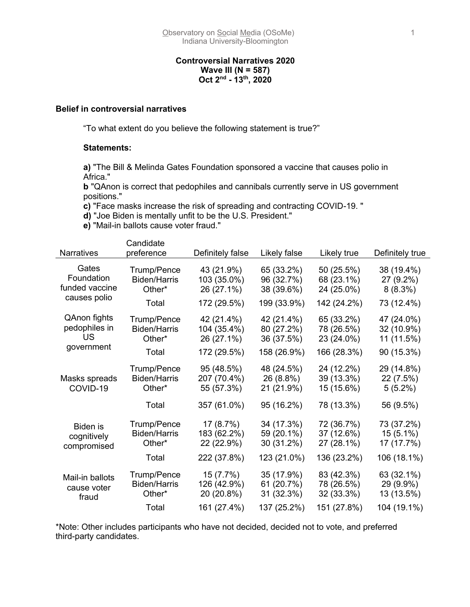### **Controversial Narratives 2020 Wave III (N = 587) Oct 2nd - 13th, 2020**

#### **Belief in controversial narratives**

"To what extent do you believe the following statement is true?"

#### **Statements:**

**a)** "The Bill & Melinda Gates Foundation sponsored a vaccine that causes polio in Africa."

**b** "QAnon is correct that pedophiles and cannibals currently serve in US government positions."

**c)** "Face masks increase the risk of spreading and contracting COVID-19. "

**d)** "Joe Biden is mentally unfit to be the U.S. President."

**e)** "Mail-in ballots cause voter fraud."

| <b>Narratives</b>                             | Candidate<br>preference                      | Definitely false                        | Likely false                           | Likely true                            | Definitely true                         |
|-----------------------------------------------|----------------------------------------------|-----------------------------------------|----------------------------------------|----------------------------------------|-----------------------------------------|
|                                               |                                              |                                         |                                        |                                        |                                         |
| Gates<br>Foundation<br>funded vaccine         | Trump/Pence<br><b>Biden/Harris</b><br>Other* | 43 (21.9%)<br>103 (35.0%)<br>26 (27.1%) | 65 (33.2%)<br>96 (32.7%)<br>38 (39.6%) | 50 (25.5%)<br>68 (23.1%)<br>24 (25.0%) | 38 (19.4%)<br>27 (9.2%)<br>$8(8.3\%)$   |
| causes polio                                  | Total                                        | 172 (29.5%)                             | 199 (33.9%)                            | 142 (24.2%)                            | 73 (12.4%)                              |
| QAnon fights<br>pedophiles in<br>US           | Trump/Pence<br><b>Biden/Harris</b><br>Other* | 42 (21.4%)<br>104 (35.4%)<br>26 (27.1%) | 42 (21.4%)<br>80 (27.2%)<br>36 (37.5%) | 65 (33.2%)<br>78 (26.5%)<br>23 (24.0%) | 47 (24.0%)<br>32 (10.9%)<br>11 (11.5%)  |
| government                                    | Total                                        | 172 (29.5%)                             | 158 (26.9%)                            | 166 (28.3%)                            | 90 (15.3%)                              |
| Masks spreads<br>COVID-19                     | Trump/Pence<br><b>Biden/Harris</b><br>Other* | 95 (48.5%)<br>207 (70.4%)<br>55 (57.3%) | 48 (24.5%)<br>26 (8.8%)<br>21 (21.9%)  | 24 (12.2%)<br>39 (13.3%)<br>15 (15.6%) | 29 (14.8%)<br>22 (7.5%)<br>$5(5.2\%)$   |
|                                               | Total                                        | 357 (61.0%)                             | 95 (16.2%)                             | 78 (13.3%)                             | 56 (9.5%)                               |
| <b>Biden</b> is<br>cognitively<br>compromised | Trump/Pence<br><b>Biden/Harris</b><br>Other* | 17 (8.7%)<br>183 (62.2%)<br>22 (22.9%)  | 34 (17.3%)<br>59 (20.1%)<br>30 (31.2%) | 72 (36.7%)<br>37 (12.6%)<br>27 (28.1%) | 73 (37.2%)<br>$15(5.1\%)$<br>17 (17.7%) |
|                                               | Total                                        | 222 (37.8%)                             | 123 (21.0%)                            | 136 (23.2%)                            | 106 (18.1%)                             |
| Mail-in ballots<br>cause voter<br>fraud       | Trump/Pence<br><b>Biden/Harris</b><br>Other* | 15 (7.7%)<br>126 (42.9%)<br>20 (20.8%)  | 35 (17.9%)<br>61 (20.7%)<br>31 (32.3%) | 83 (42.3%)<br>78 (26.5%)<br>32 (33.3%) | 63 (32.1%)<br>29 (9.9%)<br>13 (13.5%)   |
|                                               | Total                                        | 161 (27.4%)                             | 137 (25.2%)                            | 151 (27.8%)                            | 104 (19.1%)                             |

\*Note: Other includes participants who have not decided, decided not to vote, and preferred third-party candidates.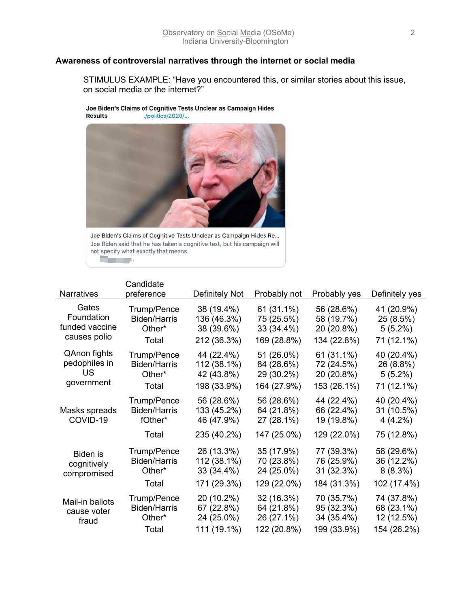### **Awareness of controversial narratives through the internet or social media**

STIMULUS EXAMPLE: "Have you encountered this, or similar stories about this issue, on social media or the internet?"

Joe Biden's Claims of Cognitive Tests Unclear as Campaign Hides **Results** /politics/2020/...



Joe Biden's Claims of Cognitive Tests Unclear as Campaign Hides Re... Joe Biden said that he has taken a cognitive test, but his campaign will not specify what exactly that means. <u>a sa sa</u>

|                                                       | Candidate                                             |                                                        |                                                       |                                                       |                                                     |
|-------------------------------------------------------|-------------------------------------------------------|--------------------------------------------------------|-------------------------------------------------------|-------------------------------------------------------|-----------------------------------------------------|
| <b>Narratives</b>                                     | preference                                            | Definitely Not                                         | Probably not                                          | Probably yes                                          | Definitely yes                                      |
| Gates<br>Foundation<br>funded vaccine<br>causes polio | Trump/Pence<br><b>Biden/Harris</b><br>Other*<br>Total | 38 (19.4%)<br>136 (46.3%)<br>38 (39.6%)<br>212 (36.3%) | 61 (31.1%)<br>75 (25.5%)<br>33 (34.4%)<br>169 (28.8%) | 56 (28.6%)<br>58 (19.7%)<br>20 (20.8%)<br>134 (22.8%) | 41 (20.9%)<br>25 (8.5%)<br>$5(5.2\%)$<br>71 (12.1%) |
| QAnon fights<br>pedophiles in<br>US<br>government     | Trump/Pence<br><b>Biden/Harris</b><br>Other*<br>Total | 44 (22.4%)<br>112 (38.1%)<br>42 (43.8%)<br>198 (33.9%) | 51 (26.0%)<br>84 (28.6%)<br>29 (30.2%)<br>164 (27.9%) | 61 (31.1%)<br>72 (24.5%)<br>20 (20.8%)<br>153 (26.1%) | 40 (20.4%)<br>26 (8.8%)<br>$5(5.2\%)$<br>71 (12.1%) |
| Masks spreads<br>COVID-19                             | Trump/Pence<br><b>Biden/Harris</b><br>fOther*         | 56 (28.6%)<br>133 (45.2%)<br>46 (47.9%)                | 56 (28.6%)<br>64 (21.8%)<br>27 (28.1%)                | 44 (22.4%)<br>66 (22.4%)<br>19 (19.8%)                | 40 (20.4%)<br>31 (10.5%)<br>$4(4.2\%)$              |
|                                                       | Total                                                 | 235 (40.2%)                                            | 147 (25.0%)                                           | 129 (22.0%)                                           | 75 (12.8%)                                          |
| Biden is<br>cognitively<br>compromised                | Trump/Pence<br><b>Biden/Harris</b><br>Other*          | 26 (13.3%)<br>112 (38.1%)<br>33 (34.4%)                | 35 (17.9%)<br>70 (23.8%)<br>24 (25.0%)                | 77 (39.3%)<br>76 (25.9%)<br>31 (32.3%)                | 58 (29.6%)<br>36 (12.2%)<br>$8(8.3\%)$              |
|                                                       | Total                                                 | 171 (29.3%)                                            | 129 (22.0%)                                           | 184 (31.3%)                                           | 102 (17.4%)                                         |
| Mail-in ballots<br>cause voter<br>fraud               | Trump/Pence<br><b>Biden/Harris</b><br>Other*          | 20 (10.2%)<br>67 (22.8%)<br>24 (25.0%)                 | 32 (16.3%)<br>64 (21.8%)<br>26 (27.1%)                | 70 (35.7%)<br>95 (32.3%)<br>34 (35.4%)                | 74 (37.8%)<br>68 (23.1%)<br>12 (12.5%)              |
|                                                       | Total                                                 | 111 (19.1%)                                            | 122 (20.8%)                                           | 199 (33.9%)                                           | 154 (26.2%)                                         |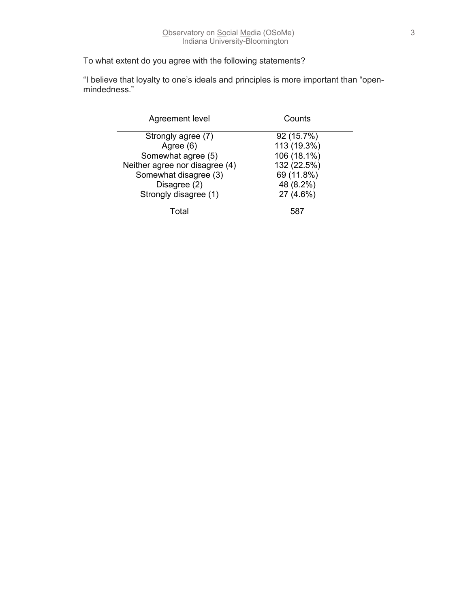## To what extent do you agree with the following statements?

"I believe that loyalty to one's ideals and principles is more important than "openmindedness."

| Agreement level                | Counts      |
|--------------------------------|-------------|
| Strongly agree (7)             | 92 (15.7%)  |
| Agree (6)                      | 113 (19.3%) |
| Somewhat agree (5)             | 106 (18.1%) |
| Neither agree nor disagree (4) | 132 (22.5%) |
| Somewhat disagree (3)          | 69 (11.8%)  |
| Disagree (2)                   | 48 (8.2%)   |
| Strongly disagree (1)          | 27 (4.6%)   |
| Total                          | 587         |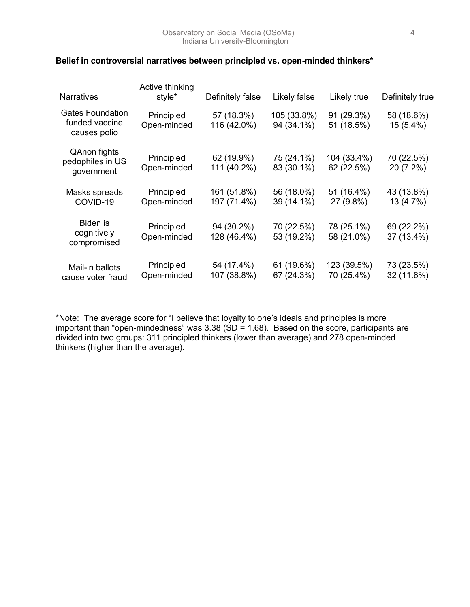| <b>Narratives</b>                                         | Active thinking<br>style* | Definitely false           | Likely false              | Likely true               | Definitely true           |
|-----------------------------------------------------------|---------------------------|----------------------------|---------------------------|---------------------------|---------------------------|
| <b>Gates Foundation</b><br>funded vaccine<br>causes polio | Principled<br>Open-minded | 57 (18.3%)<br>116 (42.0%)  | 105 (33.8%)<br>94 (34.1%) | 91 (29.3%)<br>51 (18.5%)  | 58 (18.6%)<br>$15(5.4\%)$ |
| QAnon fights<br>pedophiles in US<br>government            | Principled<br>Open-minded | 62 (19.9%)<br>111 (40.2%)  | 75 (24.1%)<br>83 (30.1%)  | 104 (33.4%)<br>62 (22.5%) | 70 (22.5%)<br>20 (7.2%)   |
| Masks spreads<br>COVID-19                                 | Principled<br>Open-minded | 161 (51.8%)<br>197 (71.4%) | 56 (18.0%)<br>39 (14.1%)  | 51 (16.4%)<br>27 (9.8%)   | 43 (13.8%)<br>13 (4.7%)   |
| Biden is<br>cognitively<br>compromised                    | Principled<br>Open-minded | 94 (30.2%)<br>128 (46.4%)  | 70 (22.5%)<br>53 (19.2%)  | 78 (25.1%)<br>58 (21.0%)  | 69 (22.2%)<br>37 (13.4%)  |
| Mail-in ballots<br>cause voter fraud                      | Principled<br>Open-minded | 54 (17.4%)<br>107 (38.8%)  | 61 (19.6%)<br>67 (24.3%)  | 123 (39.5%)<br>70 (25.4%) | 73 (23.5%)<br>32 (11.6%)  |

## **Belief in controversial narratives between principled vs. open-minded thinkers\***

\*Note: The average score for "I believe that loyalty to one's ideals and principles is more important than "open-mindedness" was 3.38 ( $SD = 1.68$ ). Based on the score, participants are divided into two groups: 311 principled thinkers (lower than average) and 278 open-minded thinkers (higher than the average).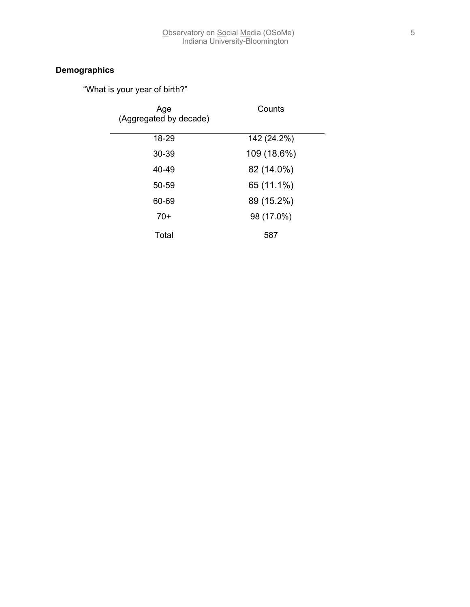# **Demographics**

"What is your year of birth?"

| Age<br>(Aggregated by decade) | Counts      |
|-------------------------------|-------------|
| 18-29                         | 142 (24.2%) |
| 30-39                         | 109 (18.6%) |
| 40-49                         | 82 (14.0%)  |
| $50 - 59$                     | 65 (11.1%)  |
| 60-69                         | 89 (15.2%)  |
| $70+$                         | 98 (17.0%)  |
| Total                         | 587         |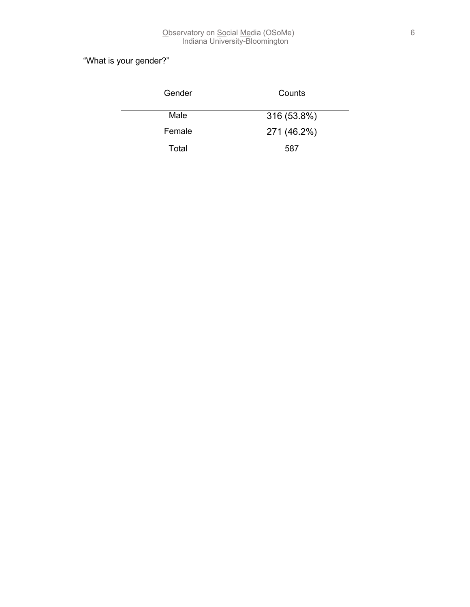# "What is your gender?"

| Gender | Counts      |  |
|--------|-------------|--|
| Male   | 316 (53.8%) |  |
| Female | 271 (46.2%) |  |
| Total  | 587         |  |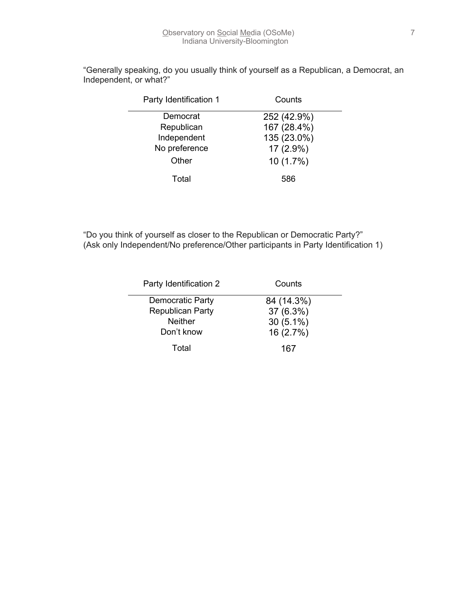| Party Identification 1 | Counts      |
|------------------------|-------------|
| Democrat               | 252 (42.9%) |
| Republican             | 167 (28.4%) |
| Independent            | 135 (23.0%) |
| No preference          | 17 (2.9%)   |
| Other                  | $10(1.7\%)$ |
| Total                  | 586         |

"Generally speaking, do you usually think of yourself as a Republican, a Democrat, an Independent, or what?"

"Do you think of yourself as closer to the Republican or Democratic Party?" (Ask only Independent/No preference/Other participants in Party Identification 1)

| Party Identification 2  | Counts      |
|-------------------------|-------------|
| Democratic Party        | 84 (14.3%)  |
| <b>Republican Party</b> | 37 (6.3%)   |
| <b>Neither</b>          | $30(5.1\%)$ |
| Don't know              | 16 (2.7%)   |
| Total                   | 167         |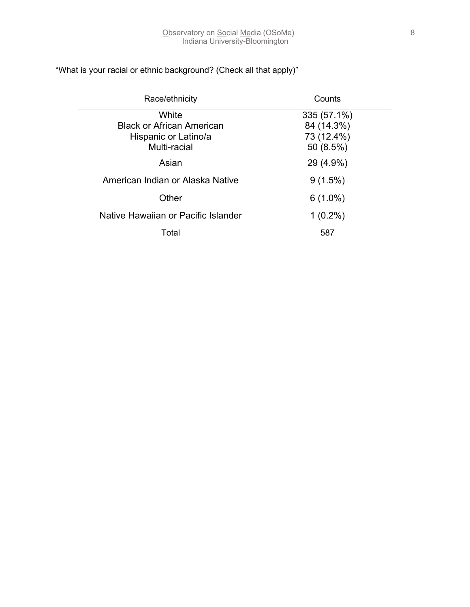| Race/ethnicity                      | Counts      |  |
|-------------------------------------|-------------|--|
| White                               | 335 (57.1%) |  |
| <b>Black or African American</b>    | 84 (14.3%)  |  |
| Hispanic or Latino/a                | 73 (12.4%)  |  |
| Multi-racial                        | 50 (8.5%)   |  |
| Asian                               | 29 (4.9%)   |  |
| American Indian or Alaska Native    | $9(1.5\%)$  |  |
| Other                               | $6(1.0\%)$  |  |
| Native Hawaiian or Pacific Islander | $1(0.2\%)$  |  |
| Total                               | 587         |  |

# "What is your racial or ethnic background? (Check all that apply)"